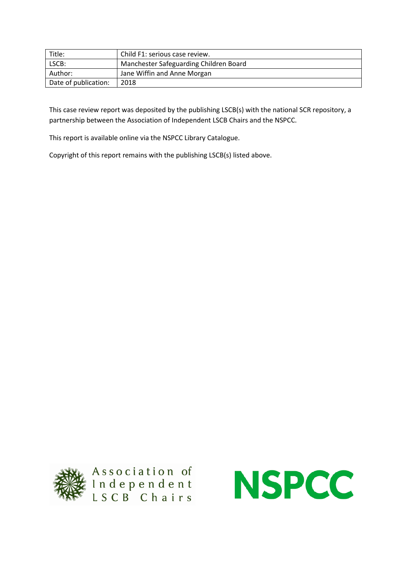| Title:               | Child F1: serious case review.         |
|----------------------|----------------------------------------|
| LSCB:                | Manchester Safeguarding Children Board |
| Author:              | Jane Wiffin and Anne Morgan            |
| Date of publication: | 2018                                   |

This case review report was deposited by the publishing LSCB(s) with the national SCR repository, a partnership between the Association of Independent LSCB Chairs and the NSPCC.

This report is available online via the NSPCC Library Catalogue.

Copyright of this report remains with the publishing LSCB(s) listed above.



Association of<br>Independent<br>LSCB Chairs

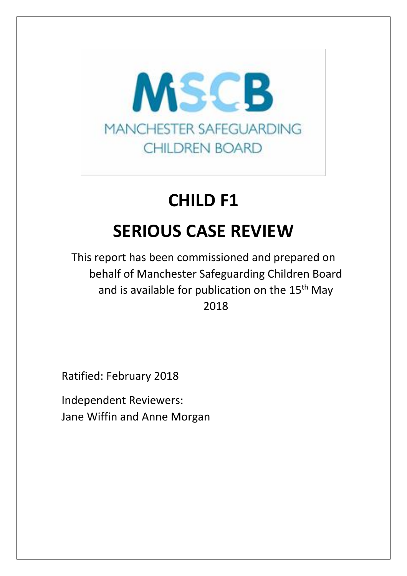

# **CHILD F1 SERIOUS CASE REVIEW**

This report has been commissioned and prepared on behalf of Manchester Safeguarding Children Board and is available for publication on the 15<sup>th</sup> May 2018

Ratified: February 2018

Independent Reviewers: Jane Wiffin and Anne Morgan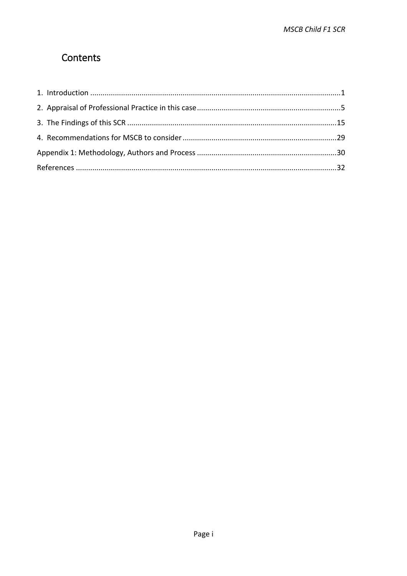## Contents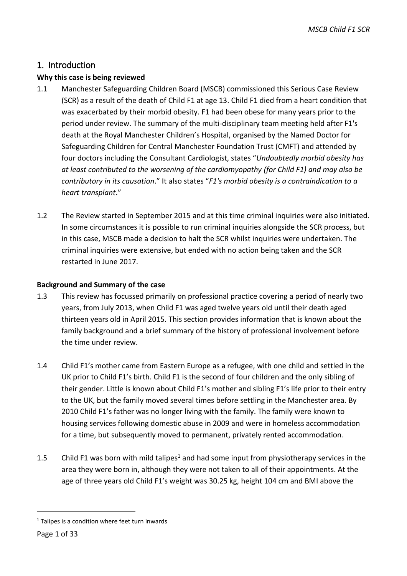## <span id="page-4-0"></span>1. Introduction

## **Why this case is being reviewed**

- 1.1 Manchester Safeguarding Children Board (MSCB) commissioned this Serious Case Review (SCR) as a result of the death of Child F1 at age 13. Child F1 died from a heart condition that was exacerbated by their morbid obesity. F1 had been obese for many years prior to the period under review. The summary of the multi-disciplinary team meeting held after F1's death at the Royal Manchester Children's Hospital, organised by the Named Doctor for Safeguarding Children for Central Manchester Foundation Trust (CMFT) and attended by four doctors including the Consultant Cardiologist, states "*Undoubtedly morbid obesity has at least contributed to the worsening of the cardiomyopathy (for Child F1) and may also be contributory in its causation*." It also states "*F1's morbid obesity is a contraindication to a heart transplant*."
- 1.2 The Review started in September 2015 and at this time criminal inquiries were also initiated. In some circumstances it is possible to run criminal inquiries alongside the SCR process, but in this case, MSCB made a decision to halt the SCR whilst inquiries were undertaken. The criminal inquiries were extensive, but ended with no action being taken and the SCR restarted in June 2017.

#### **Background and Summary of the case**

- 1.3 This review has focussed primarily on professional practice covering a period of nearly two years, from July 2013, when Child F1 was aged twelve years old until their death aged thirteen years old in April 2015. This section provides information that is known about the family background and a brief summary of the history of professional involvement before the time under review.
- 1.4 Child F1's mother came from Eastern Europe as a refugee, with one child and settled in the UK prior to Child F1's birth. Child F1 is the second of four children and the only sibling of their gender. Little is known about Child F1's mother and sibling F1's life prior to their entry to the UK, but the family moved several times before settling in the Manchester area. By 2010 Child F1's father was no longer living with the family. The family were known to housing services following domestic abuse in 2009 and were in homeless accommodation for a time, but subsequently moved to permanent, privately rented accommodation.
- 1.5 Child F1 was born with mild talipes<sup>1</sup> and had some input from physiotherapy services in the area they were born in, although they were not taken to all of their appointments. At the age of three years old Child F1's weight was 30.25 kg, height 104 cm and BMI above the

-

 $1$  Talipes is a condition where feet turn inwards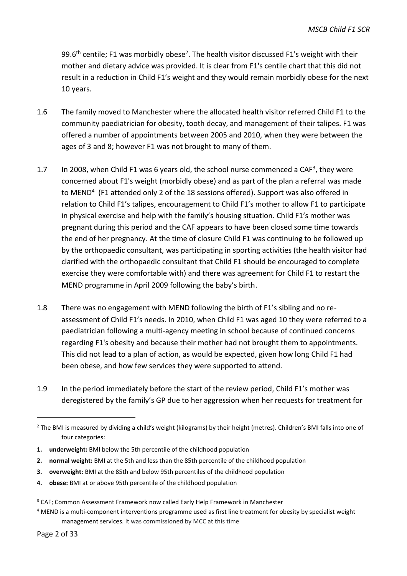99.6<sup>th</sup> centile; F1 was morbidly obese<sup>2</sup>. The health visitor discussed F1's weight with their mother and dietary advice was provided. It is clear from F1's centile chart that this did not result in a reduction in Child F1's weight and they would remain morbidly obese for the next 10 years.

- 1.6 The family moved to Manchester where the allocated health visitor referred Child F1 to the community paediatrician for obesity, tooth decay, and management of their talipes. F1 was offered a number of appointments between 2005 and 2010, when they were between the ages of 3 and 8; however F1 was not brought to many of them.
- 1.7 In 2008, when Child F1 was 6 years old, the school nurse commenced a CAF<sup>3</sup>, they were concerned about F1's weight (morbidly obese) and as part of the plan a referral was made to MEND<sup>4</sup> (F1 attended only 2 of the 18 sessions offered). Support was also offered in relation to Child F1's talipes, encouragement to Child F1's mother to allow F1 to participate in physical exercise and help with the family's housing situation. Child F1's mother was pregnant during this period and the CAF appears to have been closed some time towards the end of her pregnancy. At the time of closure Child F1 was continuing to be followed up by the orthopaedic consultant, was participating in sporting activities (the health visitor had clarified with the orthopaedic consultant that Child F1 should be encouraged to complete exercise they were comfortable with) and there was agreement for Child F1 to restart the MEND programme in April 2009 following the baby's birth.
- 1.8 There was no engagement with MEND following the birth of F1's sibling and no reassessment of Child F1's needs. In 2010, when Child F1 was aged 10 they were referred to a paediatrician following a multi-agency meeting in school because of continued concerns regarding F1's obesity and because their mother had not brought them to appointments. This did not lead to a plan of action, as would be expected, given how long Child F1 had been obese, and how few services they were supported to attend.
- 1.9 In the period immediately before the start of the review period, Child F1's mother was deregistered by the family's GP due to her aggression when her requests for treatment for

-

<sup>&</sup>lt;sup>2</sup> The BMI is measured by dividing a child's weight (kilograms) by their height (metres). Children's BMI falls into one of four categories:

**<sup>1.</sup> underweight:** BMI below the 5th percentile of the childhood population

**<sup>2.</sup> normal weight:** BMI at the 5th and less than the 85th percentile of the childhood population

**<sup>3.</sup> overweight:** BMI at the 85th and below 95th percentiles of the childhood population

**<sup>4.</sup> obese:** BMI at or above 95th percentile of the childhood population

<sup>&</sup>lt;sup>3</sup> CAF; Common Assessment Framework now called Early Help Framework in Manchester

<sup>&</sup>lt;sup>4</sup> MEND is a multi-component interventions programme used as first line treatment for obesity by specialist weight management services. It was commissioned by MCC at this time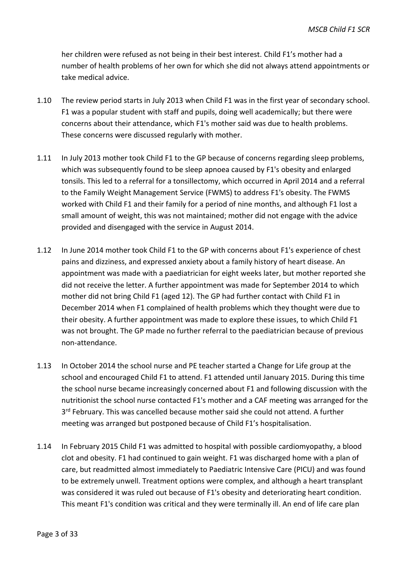her children were refused as not being in their best interest. Child F1's mother had a number of health problems of her own for which she did not always attend appointments or take medical advice.

- 1.10 The review period starts in July 2013 when Child F1 was in the first year of secondary school. F1 was a popular student with staff and pupils, doing well academically; but there were concerns about their attendance, which F1's mother said was due to health problems. These concerns were discussed regularly with mother.
- 1.11 In July 2013 mother took Child F1 to the GP because of concerns regarding sleep problems, which was subsequently found to be sleep apnoea caused by F1's obesity and enlarged tonsils. This led to a referral for a tonsillectomy, which occurred in April 2014 and a referral to the Family Weight Management Service (FWMS) to address F1's obesity. The FWMS worked with Child F1 and their family for a period of nine months, and although F1 lost a small amount of weight, this was not maintained; mother did not engage with the advice provided and disengaged with the service in August 2014.
- 1.12 In June 2014 mother took Child F1 to the GP with concerns about F1's experience of chest pains and dizziness, and expressed anxiety about a family history of heart disease. An appointment was made with a paediatrician for eight weeks later, but mother reported she did not receive the letter. A further appointment was made for September 2014 to which mother did not bring Child F1 (aged 12). The GP had further contact with Child F1 in December 2014 when F1 complained of health problems which they thought were due to their obesity. A further appointment was made to explore these issues, to which Child F1 was not brought. The GP made no further referral to the paediatrician because of previous non-attendance.
- 1.13 In October 2014 the school nurse and PE teacher started a Change for Life group at the school and encouraged Child F1 to attend. F1 attended until January 2015. During this time the school nurse became increasingly concerned about F1 and following discussion with the nutritionist the school nurse contacted F1's mother and a CAF meeting was arranged for the 3<sup>rd</sup> February. This was cancelled because mother said she could not attend. A further meeting was arranged but postponed because of Child F1's hospitalisation.
- 1.14 In February 2015 Child F1 was admitted to hospital with possible cardiomyopathy, a blood clot and obesity. F1 had continued to gain weight. F1 was discharged home with a plan of care, but readmitted almost immediately to Paediatric Intensive Care (PICU) and was found to be extremely unwell. Treatment options were complex, and although a heart transplant was considered it was ruled out because of F1's obesity and deteriorating heart condition. This meant F1's condition was critical and they were terminally ill. An end of life care plan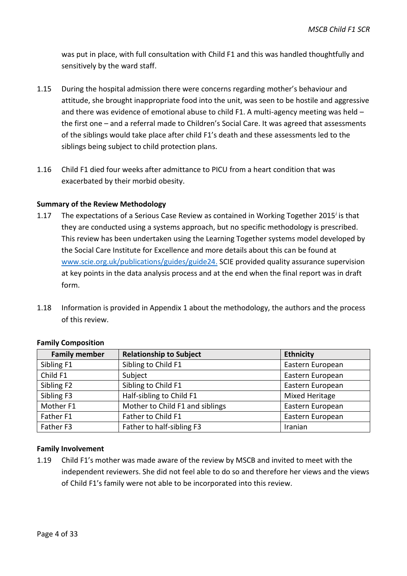was put in place, with full consultation with Child F1 and this was handled thoughtfully and sensitively by the ward staff.

- 1.15 During the hospital admission there were concerns regarding mother's behaviour and attitude, she brought inappropriate food into the unit, was seen to be hostile and aggressive and there was evidence of emotional abuse to child F1. A multi-agency meeting was held – the first one – and a referral made to Children's Social Care. It was agreed that assessments of the siblings would take place after child F1's death and these assessments led to the siblings being subject to child protection plans.
- 1.16 Child F1 died four weeks after admittance to PICU from a heart condition that was exacerbated by their morbid obesity.

#### **Summary of the Review Methodology**

- 1.17 The expectations of a Serious Case Review as contained in Working Together 2015*<sup>i</sup>* is that they are conducted using a systems approach, but no specific methodology is prescribed. This review has been undertaken using the Learning Together systems model developed by the Social Care Institute for Excellence and more details about this can be found at [www.scie.org.uk/publications/guides/guide24.](http://www.scie.org.uk/publications/guides/guide24/index.asp) SCIE provided quality assurance supervision at key points in the data analysis process and at the end when the final report was in draft form.
- 1.18 Information is provided in Appendix 1 about the methodology, the authors and the process of this review.

| <b>Family member</b>   | <b>Relationship to Subject</b>  | <b>Ethnicity</b>      |
|------------------------|---------------------------------|-----------------------|
| Sibling F1             | Sibling to Child F1             | Eastern European      |
| Child F1               | Subject                         | Eastern European      |
| Sibling F <sub>2</sub> | Sibling to Child F1             | Eastern European      |
| Sibling F3             | Half-sibling to Child F1        | <b>Mixed Heritage</b> |
| Mother F1              | Mother to Child F1 and siblings | Eastern European      |
| Father F1              | Father to Child F1              | Eastern European      |
| Father F3              | Father to half-sibling F3       | Iranian               |

#### **Family Composition**

#### **Family Involvement**

1.19 Child F1's mother was made aware of the review by MSCB and invited to meet with the independent reviewers. She did not feel able to do so and therefore her views and the views of Child F1's family were not able to be incorporated into this review.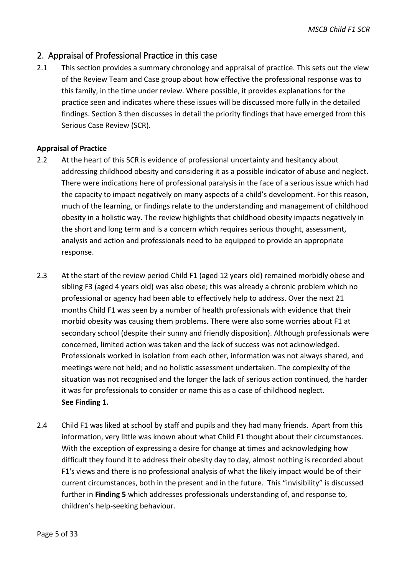## <span id="page-8-0"></span>2. Appraisal of Professional Practice in this case

2.1 This section provides a summary chronology and appraisal of practice. This sets out the view of the Review Team and Case group about how effective the professional response was to this family, in the time under review. Where possible, it provides explanations for the practice seen and indicates where these issues will be discussed more fully in the detailed findings. Section 3 then discusses in detail the priority findings that have emerged from this Serious Case Review (SCR).

#### **Appraisal of Practice**

- 2.2 At the heart of this SCR is evidence of professional uncertainty and hesitancy about addressing childhood obesity and considering it as a possible indicator of abuse and neglect. There were indications here of professional paralysis in the face of a serious issue which had the capacity to impact negatively on many aspects of a child's development. For this reason, much of the learning, or findings relate to the understanding and management of childhood obesity in a holistic way. The review highlights that childhood obesity impacts negatively in the short and long term and is a concern which requires serious thought, assessment, analysis and action and professionals need to be equipped to provide an appropriate response.
- 2.3 At the start of the review period Child F1 (aged 12 years old) remained morbidly obese and sibling F3 (aged 4 years old) was also obese; this was already a chronic problem which no professional or agency had been able to effectively help to address. Over the next 21 months Child F1 was seen by a number of health professionals with evidence that their morbid obesity was causing them problems. There were also some worries about F1 at secondary school (despite their sunny and friendly disposition). Although professionals were concerned, limited action was taken and the lack of success was not acknowledged. Professionals worked in isolation from each other, information was not always shared, and meetings were not held; and no holistic assessment undertaken. The complexity of the situation was not recognised and the longer the lack of serious action continued, the harder it was for professionals to consider or name this as a case of childhood neglect. **See Finding 1.**
- 2.4 Child F1 was liked at school by staff and pupils and they had many friends. Apart from this information, very little was known about what Child F1 thought about their circumstances. With the exception of expressing a desire for change at times and acknowledging how difficult they found it to address their obesity day to day, almost nothing is recorded about F1's views and there is no professional analysis of what the likely impact would be of their current circumstances, both in the present and in the future. This "invisibility" is discussed further in **Finding 5** which addresses professionals understanding of, and response to, children's help-seeking behaviour.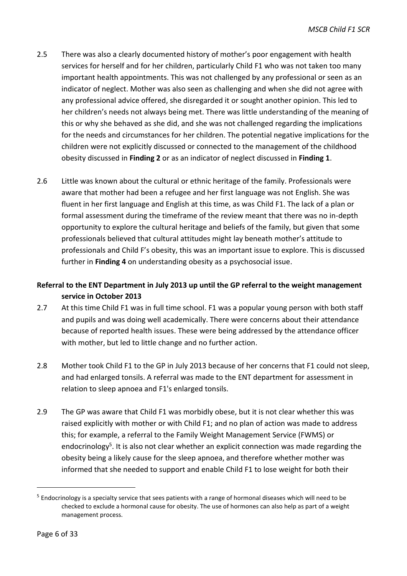- 2.5 There was also a clearly documented history of mother's poor engagement with health services for herself and for her children, particularly Child F1 who was not taken too many important health appointments. This was not challenged by any professional or seen as an indicator of neglect. Mother was also seen as challenging and when she did not agree with any professional advice offered, she disregarded it or sought another opinion. This led to her children's needs not always being met. There was little understanding of the meaning of this or why she behaved as she did, and she was not challenged regarding the implications for the needs and circumstances for her children. The potential negative implications for the children were not explicitly discussed or connected to the management of the childhood obesity discussed in **Finding 2** or as an indicator of neglect discussed in **Finding 1**.
- 2.6 Little was known about the cultural or ethnic heritage of the family. Professionals were aware that mother had been a refugee and her first language was not English. She was fluent in her first language and English at this time, as was Child F1. The lack of a plan or formal assessment during the timeframe of the review meant that there was no in-depth opportunity to explore the cultural heritage and beliefs of the family, but given that some professionals believed that cultural attitudes might lay beneath mother's attitude to professionals and Child F's obesity, this was an important issue to explore. This is discussed further in **Finding 4** on understanding obesity as a psychosocial issue.

## **Referral to the ENT Department in July 2013 up until the GP referral to the weight management service in October 2013**

- 2.7 At this time Child F1 was in full time school. F1 was a popular young person with both staff and pupils and was doing well academically. There were concerns about their attendance because of reported health issues. These were being addressed by the attendance officer with mother, but led to little change and no further action.
- 2.8 Mother took Child F1 to the GP in July 2013 because of her concerns that F1 could not sleep, and had enlarged tonsils. A referral was made to the ENT department for assessment in relation to sleep apnoea and F1's enlarged tonsils.
- 2.9 The GP was aware that Child F1 was morbidly obese, but it is not clear whether this was raised explicitly with mother or with Child F1; and no plan of action was made to address this; for example, a referral to the Family Weight Management Service (FWMS) or endocrinology<sup>5</sup>. It is also not clear whether an explicit connection was made regarding the obesity being a likely cause for the sleep apnoea, and therefore whether mother was informed that she needed to support and enable Child F1 to lose weight for both their

1

<sup>&</sup>lt;sup>5</sup> Endocrinology is a specialty service that sees patients with a range of hormonal diseases which will need to be checked to exclude a hormonal cause for obesity. The use of hormones can also help as part of a weight management process.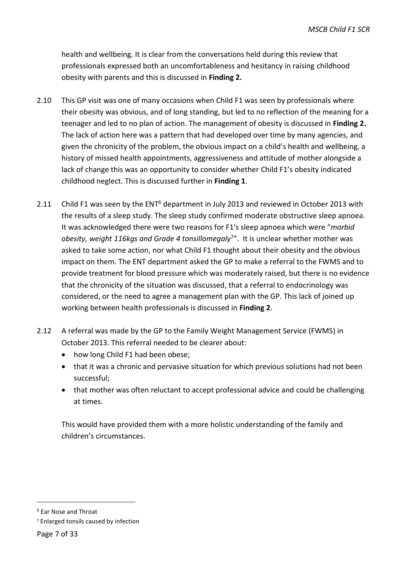health and wellbeing. It is clear from the conversations held during this review that professionals expressed both an uncomfortableness and hesitancy in raising childhood obesity with parents and this is discussed in **Finding 2.**

- 2.10 This GP visit was one of many occasions when Child F1 was seen by professionals where their obesity was obvious, and of long standing, but led to no reflection of the meaning for a teenager and led to no plan of action. The management of obesity is discussed in **Finding 2.**  The lack of action here was a pattern that had developed over time by many agencies, and given the chronicity of the problem, the obvious impact on a child's health and wellbeing, a history of missed health appointments, aggressiveness and attitude of mother alongside a lack of change this was an opportunity to consider whether Child F1's obesity indicated childhood neglect. This is discussed further in **Finding 1**.
- 2.11 Child F1 was seen by the ENT<sup>6</sup> department in July 2013 and reviewed in October 2013 with the results of a sleep study. The sleep study confirmed moderate obstructive sleep apnoea. It was acknowledged there were two reasons for F1's sleep apnoea which were "*morbid obesity, weight 116kgs and Grade 4 tonsillomegaly*<sup>7</sup> ". It is unclear whether mother was asked to take some action, nor what Child F1 thought about their obesity and the obvious impact on them. The ENT department asked the GP to make a referral to the FWMS and to provide treatment for blood pressure which was moderately raised, but there is no evidence that the chronicity of the situation was discussed, that a referral to endocrinology was considered, or the need to agree a management plan with the GP. This lack of joined up working between health professionals is discussed in **Finding 2**.
- 2.12 A referral was made by the GP to the Family Weight Management Service (FWMS) in October 2013. This referral needed to be clearer about:
	- how long Child F1 had been obese;
	- that it was a chronic and pervasive situation for which previous solutions had not been successful;
	- that mother was often reluctant to accept professional advice and could be challenging at times.

This would have provided them with a more holistic understanding of the family and children's circumstances.

-

<sup>6</sup> Ear Nose and Throat

<sup>7</sup> Enlarged tonsils caused by infection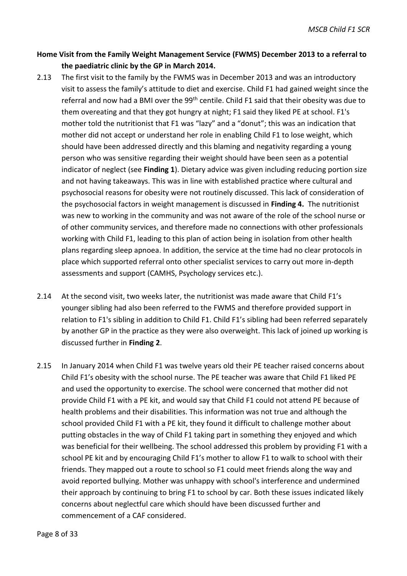## **Home Visit from the Family Weight Management Service (FWMS) December 2013 to a referral to the paediatric clinic by the GP in March 2014.**

- 2.13 The first visit to the family by the FWMS was in December 2013 and was an introductory visit to assess the family's attitude to diet and exercise. Child F1 had gained weight since the referral and now had a BMI over the 99<sup>th</sup> centile. Child F1 said that their obesity was due to them overeating and that they got hungry at night; F1 said they liked PE at school. F1's mother told the nutritionist that F1 was "lazy" and a "donut"; this was an indication that mother did not accept or understand her role in enabling Child F1 to lose weight, which should have been addressed directly and this blaming and negativity regarding a young person who was sensitive regarding their weight should have been seen as a potential indicator of neglect (see **Finding 1**). Dietary advice was given including reducing portion size and not having takeaways. This was in line with established practice where cultural and psychosocial reasons for obesity were not routinely discussed. This lack of consideration of the psychosocial factors in weight management is discussed in **Finding 4.** The nutritionist was new to working in the community and was not aware of the role of the school nurse or of other community services, and therefore made no connections with other professionals working with Child F1, leading to this plan of action being in isolation from other health plans regarding sleep apnoea. In addition, the service at the time had no clear protocols in place which supported referral onto other specialist services to carry out more in-depth assessments and support (CAMHS, Psychology services etc.).
- 2.14 At the second visit, two weeks later, the nutritionist was made aware that Child F1's younger sibling had also been referred to the FWMS and therefore provided support in relation to F1's sibling in addition to Child F1. Child F1's sibling had been referred separately by another GP in the practice as they were also overweight. This lack of joined up working is discussed further in **Finding 2**.
- 2.15 In January 2014 when Child F1 was twelve years old their PE teacher raised concerns about Child F1's obesity with the school nurse. The PE teacher was aware that Child F1 liked PE and used the opportunity to exercise. The school were concerned that mother did not provide Child F1 with a PE kit, and would say that Child F1 could not attend PE because of health problems and their disabilities. This information was not true and although the school provided Child F1 with a PE kit, they found it difficult to challenge mother about putting obstacles in the way of Child F1 taking part in something they enjoyed and which was beneficial for their wellbeing. The school addressed this problem by providing F1 with a school PE kit and by encouraging Child F1's mother to allow F1 to walk to school with their friends. They mapped out a route to school so F1 could meet friends along the way and avoid reported bullying. Mother was unhappy with school's interference and undermined their approach by continuing to bring F1 to school by car. Both these issues indicated likely concerns about neglectful care which should have been discussed further and commencement of a CAF considered.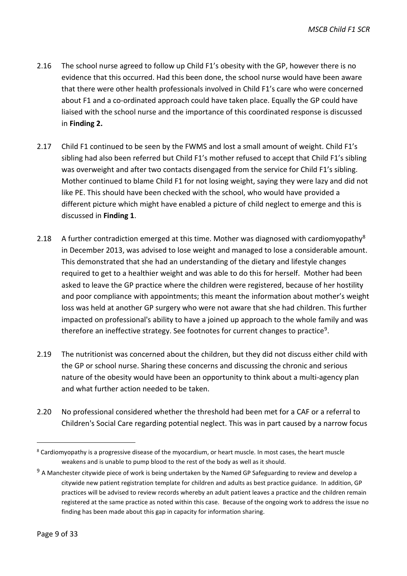- 2.16 The school nurse agreed to follow up Child F1's obesity with the GP, however there is no evidence that this occurred. Had this been done, the school nurse would have been aware that there were other health professionals involved in Child F1's care who were concerned about F1 and a co-ordinated approach could have taken place. Equally the GP could have liaised with the school nurse and the importance of this coordinated response is discussed in **Finding 2.**
- 2.17 Child F1 continued to be seen by the FWMS and lost a small amount of weight. Child F1's sibling had also been referred but Child F1's mother refused to accept that Child F1's sibling was overweight and after two contacts disengaged from the service for Child F1's sibling. Mother continued to blame Child F1 for not losing weight, saying they were lazy and did not like PE. This should have been checked with the school, who would have provided a different picture which might have enabled a picture of child neglect to emerge and this is discussed in **Finding 1**.
- 2.18 A further contradiction emerged at this time. Mother was diagnosed with cardiomyopathy<sup>8</sup> in December 2013, was advised to lose weight and managed to lose a considerable amount. This demonstrated that she had an understanding of the dietary and lifestyle changes required to get to a healthier weight and was able to do this for herself. Mother had been asked to leave the GP practice where the children were registered, because of her hostility and poor compliance with appointments; this meant the information about mother's weight loss was held at another GP surgery who were not aware that she had children. This further impacted on professional's ability to have a joined up approach to the whole family and was therefore an ineffective strategy. See footnotes for current changes to practice<sup>9</sup>.
- 2.19 The nutritionist was concerned about the children, but they did not discuss either child with the GP or school nurse. Sharing these concerns and discussing the chronic and serious nature of the obesity would have been an opportunity to think about a multi-agency plan and what further action needed to be taken.
- 2.20 No professional considered whether the threshold had been met for a CAF or a referral to Children's Social Care regarding potential neglect. This was in part caused by a narrow focus

-

<sup>&</sup>lt;sup>8</sup> Cardiomyopathy is a progressive disease of the myocardium, or heart muscle. In most cases, the heart muscle weakens and is unable to pump blood to the rest of the body as well as it should.

 $9$  A Manchester citywide piece of work is being undertaken by the Named GP Safeguarding to review and develop a citywide new patient registration template for children and adults as best practice guidance. In addition, GP practices will be advised to review records whereby an adult patient leaves a practice and the children remain registered at the same practice as noted within this case. Because of the ongoing work to address the issue no finding has been made about this gap in capacity for information sharing.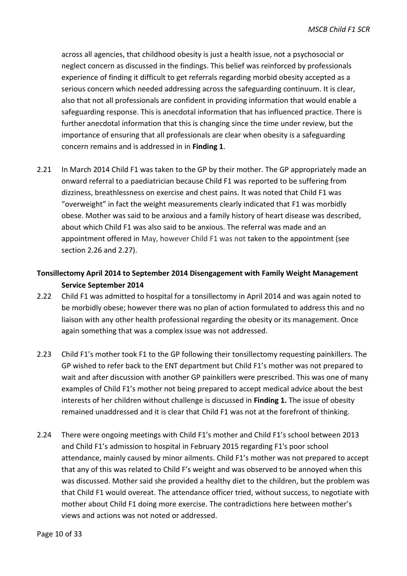across all agencies, that childhood obesity is just a health issue, not a psychosocial or neglect concern as discussed in the findings. This belief was reinforced by professionals experience of finding it difficult to get referrals regarding morbid obesity accepted as a serious concern which needed addressing across the safeguarding continuum. It is clear, also that not all professionals are confident in providing information that would enable a safeguarding response. This is anecdotal information that has influenced practice. There is further anecdotal information that this is changing since the time under review, but the importance of ensuring that all professionals are clear when obesity is a safeguarding concern remains and is addressed in in **Finding 1**.

2.21 In March 2014 Child F1 was taken to the GP by their mother. The GP appropriately made an onward referral to a paediatrician because Child F1 was reported to be suffering from dizziness, breathlessness on exercise and chest pains. It was noted that Child F1 was "overweight" in fact the weight measurements clearly indicated that F1 was morbidly obese. Mother was said to be anxious and a family history of heart disease was described, about which Child F1 was also said to be anxious. The referral was made and an appointment offered in May, however Child F1 was not taken to the appointment (see section 2.26 and 2.27).

## **Tonsillectomy April 2014 to September 2014 Disengagement with Family Weight Management Service September 2014**

- 2.22 Child F1 was admitted to hospital for a tonsillectomy in April 2014 and was again noted to be morbidly obese; however there was no plan of action formulated to address this and no liaison with any other health professional regarding the obesity or its management. Once again something that was a complex issue was not addressed.
- 2.23 Child F1's mother took F1 to the GP following their tonsillectomy requesting painkillers. The GP wished to refer back to the ENT department but Child F1's mother was not prepared to wait and after discussion with another GP painkillers were prescribed. This was one of many examples of Child F1's mother not being prepared to accept medical advice about the best interests of her children without challenge is discussed in **Finding 1.** The issue of obesity remained unaddressed and it is clear that Child F1 was not at the forefront of thinking.
- 2.24 There were ongoing meetings with Child F1's mother and Child F1's school between 2013 and Child F1's admission to hospital in February 2015 regarding F1's poor school attendance, mainly caused by minor ailments. Child F1's mother was not prepared to accept that any of this was related to Child F's weight and was observed to be annoyed when this was discussed. Mother said she provided a healthy diet to the children, but the problem was that Child F1 would overeat. The attendance officer tried, without success, to negotiate with mother about Child F1 doing more exercise. The contradictions here between mother's views and actions was not noted or addressed.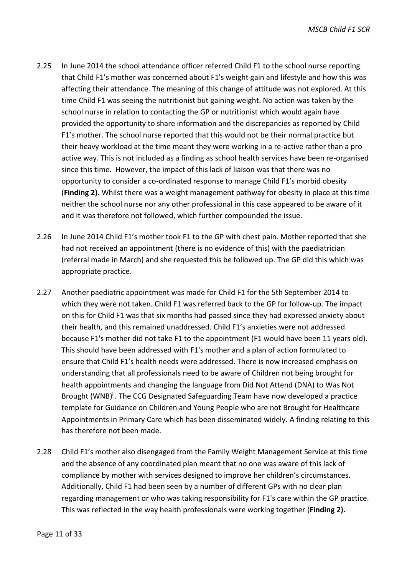- 2.25 In June 2014 the school attendance officer referred Child F1 to the school nurse reporting that Child F1's mother was concerned about F1's weight gain and lifestyle and how this was affecting their attendance. The meaning of this change of attitude was not explored. At this time Child F1 was seeing the nutritionist but gaining weight. No action was taken by the school nurse in relation to contacting the GP or nutritionist which would again have provided the opportunity to share information and the discrepancies as reported by Child F1's mother. The school nurse reported that this would not be their normal practice but their heavy workload at the time meant they were working in a re-active rather than a proactive way. This is not included as a finding as school health services have been re-organised since this time. However, the impact of this lack of liaison was that there was no opportunity to consider a co-ordinated response to manage Child F1's morbid obesity (**Finding 2).** Whilst there was a weight management pathway for obesity in place at this time neither the school nurse nor any other professional in this case appeared to be aware of it and it was therefore not followed, which further compounded the issue.
- 2.26 In June 2014 Child F1's mother took F1 to the GP with chest pain. Mother reported that she had not received an appointment (there is no evidence of this) with the paediatrician (referral made in March) and she requested this be followed up. The GP did this which was appropriate practice.
- 2.27 Another paediatric appointment was made for Child F1 for the 5th September 2014 to which they were not taken. Child F1 was referred back to the GP for follow-up. The impact on this for Child F1 was that six months had passed since they had expressed anxiety about their health, and this remained unaddressed. Child F1's anxieties were not addressed because F1's mother did not take F1 to the appointment (F1 would have been 11 years old). This should have been addressed with F1's mother and a plan of action formulated to ensure that Child F1's health needs were addressed. There is now increased emphasis on understanding that all professionals need to be aware of Children not being brought for health appointments and changing the language from Did Not Attend (DNA) to Was Not Brought (WNB)<sup>ii</sup>. The CCG Designated Safeguarding Team have now developed a practice template for Guidance on Children and Young People who are not Brought for Healthcare Appointments in Primary Care which has been disseminated widely. A finding relating to this has therefore not been made.
- 2.28 Child F1's mother also disengaged from the Family Weight Management Service at this time and the absence of any coordinated plan meant that no one was aware of this lack of compliance by mother with services designed to improve her children's circumstances. Additionally, Child F1 had been seen by a number of different GPs with no clear plan regarding management or who was taking responsibility for F1's care within the GP practice. This was reflected in the way health professionals were working together (**Finding 2).**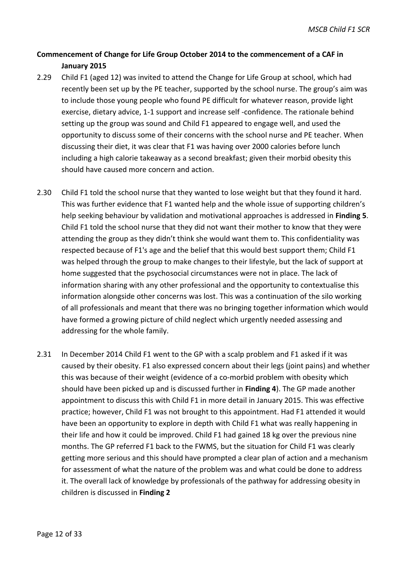## **Commencement of Change for Life Group October 2014 to the commencement of a CAF in January 2015**

- 2.29 Child F1 (aged 12) was invited to attend the Change for Life Group at school, which had recently been set up by the PE teacher, supported by the school nurse. The group's aim was to include those young people who found PE difficult for whatever reason, provide light exercise, dietary advice, 1-1 support and increase self -confidence. The rationale behind setting up the group was sound and Child F1 appeared to engage well, and used the opportunity to discuss some of their concerns with the school nurse and PE teacher. When discussing their diet, it was clear that F1 was having over 2000 calories before lunch including a high calorie takeaway as a second breakfast; given their morbid obesity this should have caused more concern and action.
- 2.30 Child F1 told the school nurse that they wanted to lose weight but that they found it hard. This was further evidence that F1 wanted help and the whole issue of supporting children's help seeking behaviour by validation and motivational approaches is addressed in **Finding 5**. Child F1 told the school nurse that they did not want their mother to know that they were attending the group as they didn't think she would want them to. This confidentiality was respected because of F1's age and the belief that this would best support them; Child F1 was helped through the group to make changes to their lifestyle, but the lack of support at home suggested that the psychosocial circumstances were not in place. The lack of information sharing with any other professional and the opportunity to contextualise this information alongside other concerns was lost. This was a continuation of the silo working of all professionals and meant that there was no bringing together information which would have formed a growing picture of child neglect which urgently needed assessing and addressing for the whole family.
- 2.31 In December 2014 Child F1 went to the GP with a scalp problem and F1 asked if it was caused by their obesity. F1 also expressed concern about their legs (joint pains) and whether this was because of their weight (evidence of a co-morbid problem with obesity which should have been picked up and is discussed further in **Finding 4**). The GP made another appointment to discuss this with Child F1 in more detail in January 2015. This was effective practice; however, Child F1 was not brought to this appointment. Had F1 attended it would have been an opportunity to explore in depth with Child F1 what was really happening in their life and how it could be improved. Child F1 had gained 18 kg over the previous nine months. The GP referred F1 back to the FWMS, but the situation for Child F1 was clearly getting more serious and this should have prompted a clear plan of action and a mechanism for assessment of what the nature of the problem was and what could be done to address it. The overall lack of knowledge by professionals of the pathway for addressing obesity in children is discussed in **Finding 2**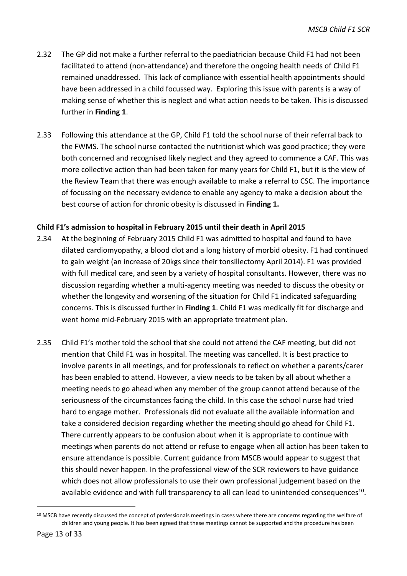- 2.32 The GP did not make a further referral to the paediatrician because Child F1 had not been facilitated to attend (non-attendance) and therefore the ongoing health needs of Child F1 remained unaddressed. This lack of compliance with essential health appointments should have been addressed in a child focussed way. Exploring this issue with parents is a way of making sense of whether this is neglect and what action needs to be taken. This is discussed further in **Finding 1**.
- 2.33 Following this attendance at the GP, Child F1 told the school nurse of their referral back to the FWMS. The school nurse contacted the nutritionist which was good practice; they were both concerned and recognised likely neglect and they agreed to commence a CAF. This was more collective action than had been taken for many years for Child F1, but it is the view of the Review Team that there was enough available to make a referral to CSC. The importance of focussing on the necessary evidence to enable any agency to make a decision about the best course of action for chronic obesity is discussed in **Finding 1.**

#### **Child F1's admission to hospital in February 2015 until their death in April 2015**

- 2.34 At the beginning of February 2015 Child F1 was admitted to hospital and found to have dilated cardiomyopathy, a blood clot and a long history of morbid obesity. F1 had continued to gain weight (an increase of 20kgs since their tonsillectomy April 2014). F1 was provided with full medical care, and seen by a variety of hospital consultants. However, there was no discussion regarding whether a multi-agency meeting was needed to discuss the obesity or whether the longevity and worsening of the situation for Child F1 indicated safeguarding concerns. This is discussed further in **Finding 1**. Child F1 was medically fit for discharge and went home mid-February 2015 with an appropriate treatment plan.
- 2.35 Child F1's mother told the school that she could not attend the CAF meeting, but did not mention that Child F1 was in hospital. The meeting was cancelled. It is best practice to involve parents in all meetings, and for professionals to reflect on whether a parents/carer has been enabled to attend. However, a view needs to be taken by all about whether a meeting needs to go ahead when any member of the group cannot attend because of the seriousness of the circumstances facing the child. In this case the school nurse had tried hard to engage mother. Professionals did not evaluate all the available information and take a considered decision regarding whether the meeting should go ahead for Child F1. There currently appears to be confusion about when it is appropriate to continue with meetings when parents do not attend or refuse to engage when all action has been taken to ensure attendance is possible. Current guidance from MSCB would appear to suggest that this should never happen. In the professional view of the SCR reviewers to have guidance which does not allow professionals to use their own professional judgement based on the available evidence and with full transparency to all can lead to unintended consequences $^{10}$ .

1

<sup>&</sup>lt;sup>10</sup> MSCB have recently discussed the concept of professionals meetings in cases where there are concerns regarding the welfare of children and young people. It has been agreed that these meetings cannot be supported and the procedure has been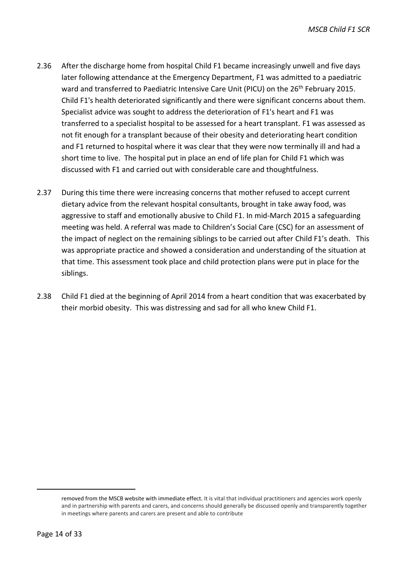- 2.36 After the discharge home from hospital Child F1 became increasingly unwell and five days later following attendance at the Emergency Department, F1 was admitted to a paediatric ward and transferred to Paediatric Intensive Care Unit (PICU) on the 26<sup>th</sup> February 2015. Child F1's health deteriorated significantly and there were significant concerns about them. Specialist advice was sought to address the deterioration of F1's heart and F1 was transferred to a specialist hospital to be assessed for a heart transplant. F1 was assessed as not fit enough for a transplant because of their obesity and deteriorating heart condition and F1 returned to hospital where it was clear that they were now terminally ill and had a short time to live. The hospital put in place an end of life plan for Child F1 which was discussed with F1 and carried out with considerable care and thoughtfulness.
- 2.37 During this time there were increasing concerns that mother refused to accept current dietary advice from the relevant hospital consultants, brought in take away food, was aggressive to staff and emotionally abusive to Child F1. In mid-March 2015 a safeguarding meeting was held. A referral was made to Children's Social Care (CSC) for an assessment of the impact of neglect on the remaining siblings to be carried out after Child F1's death. This was appropriate practice and showed a consideration and understanding of the situation at that time. This assessment took place and child protection plans were put in place for the siblings.
- 2.38 Child F1 died at the beginning of April 2014 from a heart condition that was exacerbated by their morbid obesity. This was distressing and sad for all who knew Child F1.

-

removed from the MSCB website with immediate effect. It is vital that individual practitioners and agencies work openly and in partnership with parents and carers, and concerns should generally be discussed openly and transparently together in meetings where parents and carers are present and able to contribute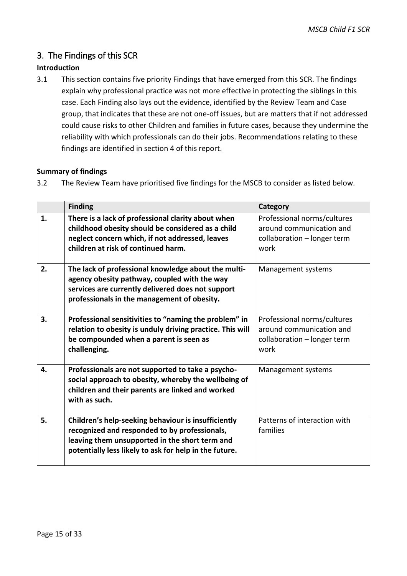## <span id="page-18-0"></span>3. The Findings of this SCR

## **Introduction**

3.1 This section contains five priority Findings that have emerged from this SCR. The findings explain why professional practice was not more effective in protecting the siblings in this case. Each Finding also lays out the evidence, identified by the Review Team and Case group, that indicates that these are not one-off issues, but are matters that if not addressed could cause risks to other Children and families in future cases, because they undermine the reliability with which professionals can do their jobs. Recommendations relating to these findings are identified in section 4 of this report.

#### **Summary of findings**

3.2 The Review Team have prioritised five findings for the MSCB to consider as listed below.

|    | <b>Finding</b>                                                                                                                                                                                                   | Category                                                                                       |
|----|------------------------------------------------------------------------------------------------------------------------------------------------------------------------------------------------------------------|------------------------------------------------------------------------------------------------|
| 1. | There is a lack of professional clarity about when<br>childhood obesity should be considered as a child<br>neglect concern which, if not addressed, leaves<br>children at risk of continued harm.                | Professional norms/cultures<br>around communication and<br>collaboration - longer term<br>work |
| 2. | The lack of professional knowledge about the multi-<br>agency obesity pathway, coupled with the way<br>services are currently delivered does not support<br>professionals in the management of obesity.          | Management systems                                                                             |
| 3. | Professional sensitivities to "naming the problem" in<br>relation to obesity is unduly driving practice. This will<br>be compounded when a parent is seen as<br>challenging.                                     | Professional norms/cultures<br>around communication and<br>collaboration - longer term<br>work |
| 4. | Professionals are not supported to take a psycho-<br>social approach to obesity, whereby the wellbeing of<br>children and their parents are linked and worked<br>with as such.                                   | Management systems                                                                             |
| 5. | Children's help-seeking behaviour is insufficiently<br>recognized and responded to by professionals,<br>leaving them unsupported in the short term and<br>potentially less likely to ask for help in the future. | Patterns of interaction with<br>families                                                       |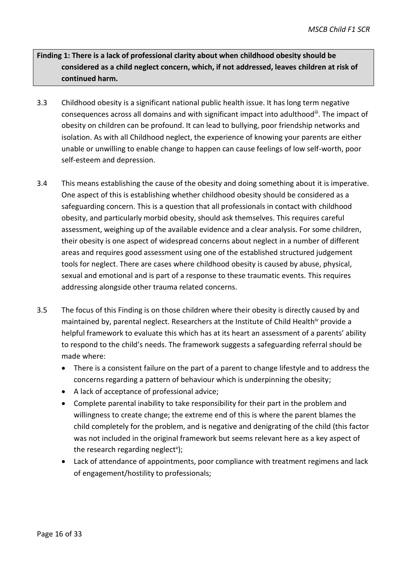**Finding 1: There is a lack of professional clarity about when childhood obesity should be considered as a child neglect concern, which, if not addressed, leaves children at risk of continued harm.**

- 3.3 Childhood obesity is a significant national public health issue. It has long term negative consequences across all domains and with significant impact into adulthoodii. The impact of obesity on children can be profound. It can lead to bullying, poor friendship networks and isolation. As with all Childhood neglect, the experience of knowing your parents are either unable or unwilling to enable change to happen can cause feelings of low self-worth, poor self-esteem and depression.
- 3.4 This means establishing the cause of the obesity and doing something about it is imperative. One aspect of this is establishing whether childhood obesity should be considered as a safeguarding concern. This is a question that all professionals in contact with childhood obesity, and particularly morbid obesity, should ask themselves. This requires careful assessment, weighing up of the available evidence and a clear analysis. For some children, their obesity is one aspect of widespread concerns about neglect in a number of different areas and requires good assessment using one of the established structured judgement tools for neglect. There are cases where childhood obesity is caused by abuse, physical, sexual and emotional and is part of a response to these traumatic events. This requires addressing alongside other trauma related concerns.
- 3.5 The focus of this Finding is on those children where their obesity is directly caused by and maintained by, parental neglect. Researchers at the Institute of Child Health<sup>iv</sup> provide a helpful framework to evaluate this which has at its heart an assessment of a parents' ability to respond to the child's needs. The framework suggests a safeguarding referral should be made where:
	- There is a consistent failure on the part of a parent to change lifestyle and to address the concerns regarding a pattern of behaviour which is underpinning the obesity;
	- A lack of acceptance of professional advice;
	- Complete parental inability to take responsibility for their part in the problem and willingness to create change; the extreme end of this is where the parent blames the child completely for the problem, and is negative and denigrating of the child (this factor was not included in the original framework but seems relevant here as a key aspect of the research regarding neglect<sup>v</sup>);
	- Lack of attendance of appointments, poor compliance with treatment regimens and lack of engagement/hostility to professionals;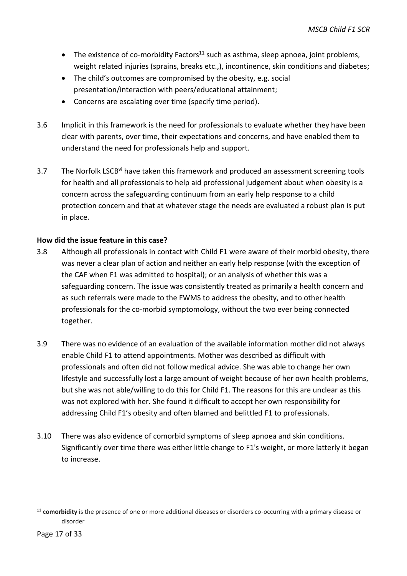- The existence of co-morbidity Factors<sup>11</sup> such as asthma, sleep apnoea, joint problems, weight related injuries (sprains, breaks etc.,), incontinence, skin conditions and diabetes;
- The child's outcomes are compromised by the obesity, e.g. social presentation/interaction with peers/educational attainment;
- Concerns are escalating over time (specify time period).
- 3.6 Implicit in this framework is the need for professionals to evaluate whether they have been clear with parents, over time, their expectations and concerns, and have enabled them to understand the need for professionals help and support.
- 3.7 The Norfolk LSCB<sup>vi</sup> have taken this framework and produced an assessment screening tools for health and all professionals to help aid professional judgement about when obesity is a concern across the safeguarding continuum from an early help response to a child protection concern and that at whatever stage the needs are evaluated a robust plan is put in place.

#### **How did the issue feature in this case?**

- 3.8 Although all professionals in contact with Child F1 were aware of their morbid obesity, there was never a clear plan of action and neither an early help response (with the exception of the CAF when F1 was admitted to hospital); or an analysis of whether this was a safeguarding concern. The issue was consistently treated as primarily a health concern and as such referrals were made to the FWMS to address the obesity, and to other health professionals for the co-morbid symptomology, without the two ever being connected together.
- 3.9 There was no evidence of an evaluation of the available information mother did not always enable Child F1 to attend appointments. Mother was described as difficult with professionals and often did not follow medical advice. She was able to change her own lifestyle and successfully lost a large amount of weight because of her own health problems, but she was not able/willing to do this for Child F1. The reasons for this are unclear as this was not explored with her. She found it difficult to accept her own responsibility for addressing Child F1's obesity and often blamed and belittled F1 to professionals.
- 3.10 There was also evidence of comorbid symptoms of sleep apnoea and skin conditions. Significantly over time there was either little change to F1's weight, or more latterly it began to increase.

-

<sup>&</sup>lt;sup>11</sup> comorbidity is the presence of one or more additional diseases or disorders co-occurring with a primary disease or disorder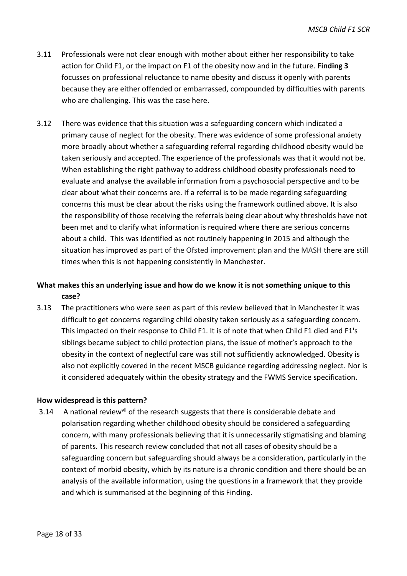- 3.11 Professionals were not clear enough with mother about either her responsibility to take action for Child F1, or the impact on F1 of the obesity now and in the future. **Finding 3** focusses on professional reluctance to name obesity and discuss it openly with parents because they are either offended or embarrassed, compounded by difficulties with parents who are challenging. This was the case here.
- 3.12 There was evidence that this situation was a safeguarding concern which indicated a primary cause of neglect for the obesity. There was evidence of some professional anxiety more broadly about whether a safeguarding referral regarding childhood obesity would be taken seriously and accepted. The experience of the professionals was that it would not be. When establishing the right pathway to address childhood obesity professionals need to evaluate and analyse the available information from a psychosocial perspective and to be clear about what their concerns are. If a referral is to be made regarding safeguarding concerns this must be clear about the risks using the framework outlined above. It is also the responsibility of those receiving the referrals being clear about why thresholds have not been met and to clarify what information is required where there are serious concerns about a child. This was identified as not routinely happening in 2015 and although the situation has improved as part of the Ofsted improvement plan and the MASH there are still times when this is not happening consistently in Manchester.

## **What makes this an underlying issue and how do we know it is not something unique to this case?**

3.13 The practitioners who were seen as part of this review believed that in Manchester it was difficult to get concerns regarding child obesity taken seriously as a safeguarding concern. This impacted on their response to Child F1. It is of note that when Child F1 died and F1's siblings became subject to child protection plans, the issue of mother's approach to the obesity in the context of neglectful care was still not sufficiently acknowledged. Obesity is also not explicitly covered in the recent MSCB guidance regarding addressing neglect. Nor is it considered adequately within the obesity strategy and the FWMS Service specification.

#### **How widespread is this pattern?**

3.14 A national review<sup>vii</sup> of the research suggests that there is considerable debate and polarisation regarding whether childhood obesity should be considered a safeguarding concern, with many professionals believing that it is unnecessarily stigmatising and blaming of parents. This research review concluded that not all cases of obesity should be a safeguarding concern but safeguarding should always be a consideration, particularly in the context of morbid obesity, which by its nature is a chronic condition and there should be an analysis of the available information, using the questions in a framework that they provide and which is summarised at the beginning of this Finding.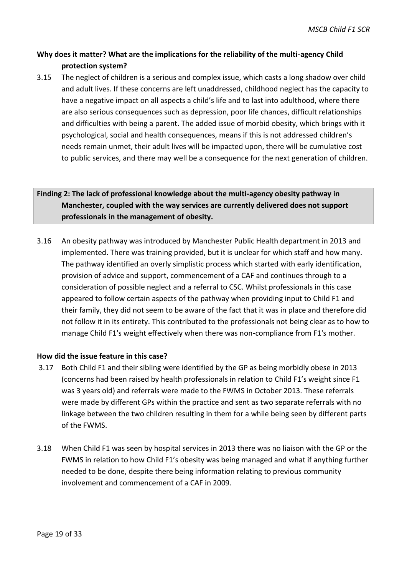## **Why does it matter? What are the implications for the reliability of the multi-agency Child protection system?**

3.15 The neglect of children is a serious and complex issue, which casts a long shadow over child and adult lives. If these concerns are left unaddressed, childhood neglect has the capacity to have a negative impact on all aspects a child's life and to last into adulthood, where there are also serious consequences such as depression, poor life chances, difficult relationships and difficulties with being a parent. The added issue of morbid obesity, which brings with it psychological, social and health consequences, means if this is not addressed children's needs remain unmet, their adult lives will be impacted upon, there will be cumulative cost to public services, and there may well be a consequence for the next generation of children.

## **Finding 2: The lack of professional knowledge about the multi-agency obesity pathway in Manchester, coupled with the way services are currently delivered does not support professionals in the management of obesity.**

3.16 An obesity pathway was introduced by Manchester Public Health department in 2013 and implemented. There was training provided, but it is unclear for which staff and how many. The pathway identified an overly simplistic process which started with early identification, provision of advice and support, commencement of a CAF and continues through to a consideration of possible neglect and a referral to CSC. Whilst professionals in this case appeared to follow certain aspects of the pathway when providing input to Child F1 and their family, they did not seem to be aware of the fact that it was in place and therefore did not follow it in its entirety. This contributed to the professionals not being clear as to how to manage Child F1's weight effectively when there was non-compliance from F1's mother.

#### **How did the issue feature in this case?**

- 3.17 Both Child F1 and their sibling were identified by the GP as being morbidly obese in 2013 (concerns had been raised by health professionals in relation to Child F1's weight since F1 was 3 years old) and referrals were made to the FWMS in October 2013. These referrals were made by different GPs within the practice and sent as two separate referrals with no linkage between the two children resulting in them for a while being seen by different parts of the FWMS.
- 3.18 When Child F1 was seen by hospital services in 2013 there was no liaison with the GP or the FWMS in relation to how Child F1's obesity was being managed and what if anything further needed to be done, despite there being information relating to previous community involvement and commencement of a CAF in 2009.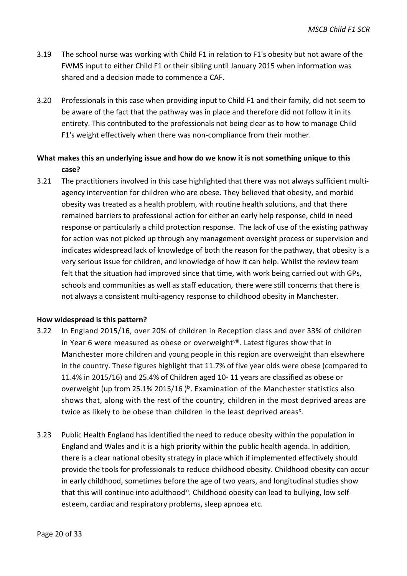- 3.19 The school nurse was working with Child F1 in relation to F1's obesity but not aware of the FWMS input to either Child F1 or their sibling until January 2015 when information was shared and a decision made to commence a CAF.
- 3.20 Professionals in this case when providing input to Child F1 and their family, did not seem to be aware of the fact that the pathway was in place and therefore did not follow it in its entirety. This contributed to the professionals not being clear as to how to manage Child F1's weight effectively when there was non-compliance from their mother.

## **What makes this an underlying issue and how do we know it is not something unique to this case?**

3.21 The practitioners involved in this case highlighted that there was not always sufficient multiagency intervention for children who are obese. They believed that obesity, and morbid obesity was treated as a health problem, with routine health solutions, and that there remained barriers to professional action for either an early help response, child in need response or particularly a child protection response. The lack of use of the existing pathway for action was not picked up through any management oversight process or supervision and indicates widespread lack of knowledge of both the reason for the pathway, that obesity is a very serious issue for children, and knowledge of how it can help. Whilst the review team felt that the situation had improved since that time, with work being carried out with GPs, schools and communities as well as staff education, there were still concerns that there is not always a consistent multi-agency response to childhood obesity in Manchester.

#### **How widespread is this pattern?**

- 3.22 In England 2015/16, over 20% of children in Reception class and over 33% of children in Year 6 were measured as obese or overweight<sup>viii</sup>. Latest figures show that in Manchester more children and young people in this region are overweight than elsewhere in the country. These figures highlight that 11.7% of five year olds were obese (compared to 11.4% in 2015/16) and 25.4% of Children aged 10- 11 years are classified as obese or overweight (up from 25.1% 2015/16)<sup>ix</sup>. Examination of the Manchester statistics also shows that, along with the rest of the country, children in the most deprived areas are twice as likely to be obese than children in the least deprived areas<sup>x</sup>.
- 3.23 Public Health England has identified the need to reduce obesity within the population in England and Wales and it is a high priority within the public health agenda. In addition, there is a clear national obesity strategy in place which if implemented effectively should provide the tools for professionals to reduce childhood obesity. Childhood obesity can occur in early childhood, sometimes before the age of two years, and longitudinal studies show that this will continue into adulthood<sup>xi</sup>. Childhood obesity can lead to bullying, low selfesteem, cardiac and respiratory problems, sleep apnoea etc.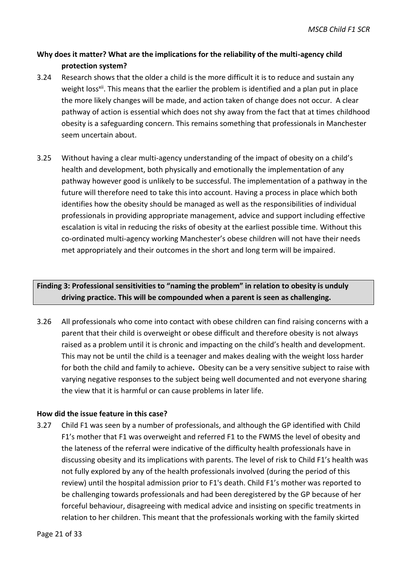## **Why does it matter? What are the implications for the reliability of the multi-agency child protection system?**

- 3.24 Research shows that the older a child is the more difficult it is to reduce and sustain any weight loss<sup>xii</sup>. This means that the earlier the problem is identified and a plan put in place the more likely changes will be made, and action taken of change does not occur. A clear pathway of action is essential which does not shy away from the fact that at times childhood obesity is a safeguarding concern. This remains something that professionals in Manchester seem uncertain about.
- 3.25 Without having a clear multi-agency understanding of the impact of obesity on a child's health and development, both physically and emotionally the implementation of any pathway however good is unlikely to be successful. The implementation of a pathway in the future will therefore need to take this into account. Having a process in place which both identifies how the obesity should be managed as well as the responsibilities of individual professionals in providing appropriate management, advice and support including effective escalation is vital in reducing the risks of obesity at the earliest possible time. Without this co-ordinated multi-agency working Manchester's obese children will not have their needs met appropriately and their outcomes in the short and long term will be impaired.

## **Finding 3: Professional sensitivities to "naming the problem" in relation to obesity is unduly driving practice. This will be compounded when a parent is seen as challenging.**

3.26 All professionals who come into contact with obese children can find raising concerns with a parent that their child is overweight or obese difficult and therefore obesity is not always raised as a problem until it is chronic and impacting on the child's health and development. This may not be until the child is a teenager and makes dealing with the weight loss harder for both the child and family to achieve**.** Obesity can be a very sensitive subject to raise with varying negative responses to the subject being well documented and not everyone sharing the view that it is harmful or can cause problems in later life.

#### **How did the issue feature in this case?**

3.27 Child F1 was seen by a number of professionals, and although the GP identified with Child F1's mother that F1 was overweight and referred F1 to the FWMS the level of obesity and the lateness of the referral were indicative of the difficulty health professionals have in discussing obesity and its implications with parents. The level of risk to Child F1's health was not fully explored by any of the health professionals involved (during the period of this review) until the hospital admission prior to F1's death. Child F1's mother was reported to be challenging towards professionals and had been deregistered by the GP because of her forceful behaviour, disagreeing with medical advice and insisting on specific treatments in relation to her children. This meant that the professionals working with the family skirted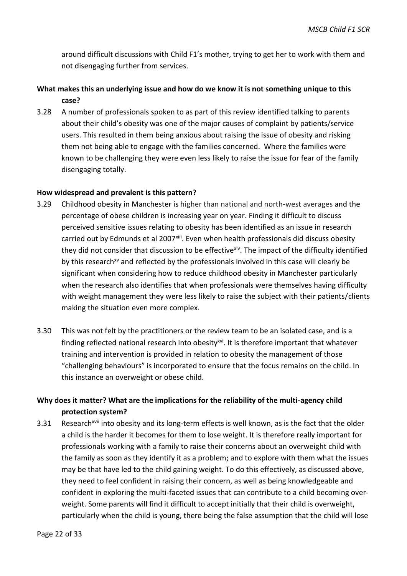around difficult discussions with Child F1's mother, trying to get her to work with them and not disengaging further from services.

## **What makes this an underlying issue and how do we know it is not something unique to this case?**

3.28 A number of professionals spoken to as part of this review identified talking to parents about their child's obesity was one of the major causes of complaint by patients/service users. This resulted in them being anxious about raising the issue of obesity and risking them not being able to engage with the families concerned. Where the families were known to be challenging they were even less likely to raise the issue for fear of the family disengaging totally.

#### **How widespread and prevalent is this pattern?**

- 3.29 Childhood obesity in Manchester is higher than national and north-west averages and the percentage of obese children is increasing year on year. Finding it difficult to discuss perceived sensitive issues relating to obesity has been identified as an issue in research carried out by Edmunds et al 2007<sup>xiii</sup>. Even when health professionals did discuss obesity they did not consider that discussion to be effective<sup>xiv</sup>. The impact of the difficulty identified by this research<sup>xv</sup> and reflected by the professionals involved in this case will clearly be significant when considering how to reduce childhood obesity in Manchester particularly when the research also identifies that when professionals were themselves having difficulty with weight management they were less likely to raise the subject with their patients/clients making the situation even more complex.
- 3.30 This was not felt by the practitioners or the review team to be an isolated case, and is a finding reflected national research into obesity<sup>xvi</sup>. It is therefore important that whatever training and intervention is provided in relation to obesity the management of those "challenging behaviours" is incorporated to ensure that the focus remains on the child. In this instance an overweight or obese child.

## **Why does it matter? What are the implications for the reliability of the multi-agency child protection system?**

3.31 Research<sup>xvii</sup> into obesity and its long-term effects is well known, as is the fact that the older a child is the harder it becomes for them to lose weight. It is therefore really important for professionals working with a family to raise their concerns about an overweight child with the family as soon as they identify it as a problem; and to explore with them what the issues may be that have led to the child gaining weight. To do this effectively, as discussed above, they need to feel confident in raising their concern, as well as being knowledgeable and confident in exploring the multi-faceted issues that can contribute to a child becoming overweight. Some parents will find it difficult to accept initially that their child is overweight, particularly when the child is young, there being the false assumption that the child will lose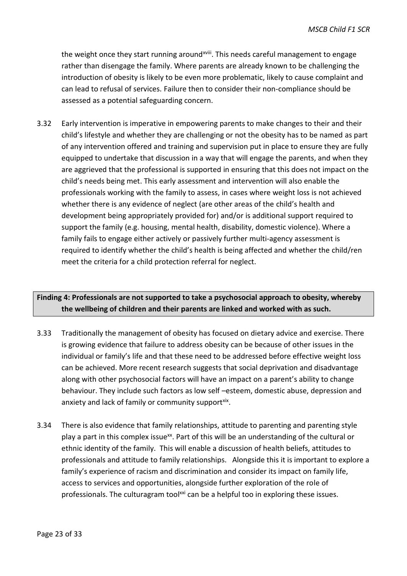the weight once they start running around<sup>xviii</sup>. This needs careful management to engage rather than disengage the family. Where parents are already known to be challenging the introduction of obesity is likely to be even more problematic, likely to cause complaint and can lead to refusal of services. Failure then to consider their non-compliance should be assessed as a potential safeguarding concern.

3.32 Early intervention is imperative in empowering parents to make changes to their and their child's lifestyle and whether they are challenging or not the obesity has to be named as part of any intervention offered and training and supervision put in place to ensure they are fully equipped to undertake that discussion in a way that will engage the parents, and when they are aggrieved that the professional is supported in ensuring that this does not impact on the child's needs being met. This early assessment and intervention will also enable the professionals working with the family to assess, in cases where weight loss is not achieved whether there is any evidence of neglect (are other areas of the child's health and development being appropriately provided for) and/or is additional support required to support the family (e.g. housing, mental health, disability, domestic violence). Where a family fails to engage either actively or passively further multi-agency assessment is required to identify whether the child's health is being affected and whether the child/ren meet the criteria for a child protection referral for neglect.

## **Finding 4: Professionals are not supported to take a psychosocial approach to obesity, whereby the wellbeing of children and their parents are linked and worked with as such.**

- 3.33 Traditionally the management of obesity has focused on dietary advice and exercise. There is growing evidence that failure to address obesity can be because of other issues in the individual or family's life and that these need to be addressed before effective weight loss can be achieved. More recent research suggests that social deprivation and disadvantage along with other psychosocial factors will have an impact on a parent's ability to change behaviour. They include such factors as low self –esteem, domestic abuse, depression and anxiety and lack of family or community supportxix.
- 3.34 There is also evidence that family relationships, attitude to parenting and parenting style play a part in this complex issue<sup>xx</sup>. Part of this will be an understanding of the cultural or ethnic identity of the family. This will enable a discussion of health beliefs, attitudes to professionals and attitude to family relationships. Alongside this it is important to explore a family's experience of racism and discrimination and consider its impact on family life, access to services and opportunities, alongside further exploration of the role of professionals. The culturagram tool<sup>xxi</sup> can be a helpful too in exploring these issues.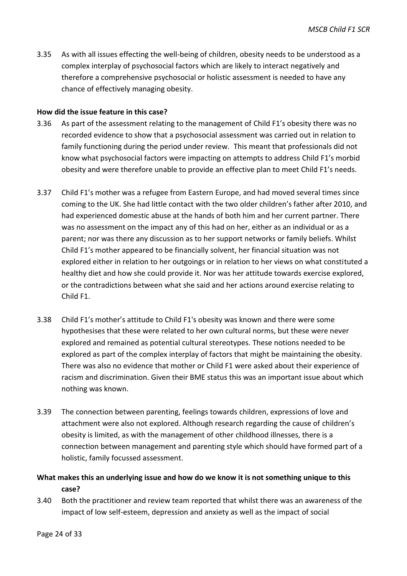3.35 As with all issues effecting the well-being of children, obesity needs to be understood as a complex interplay of psychosocial factors which are likely to interact negatively and therefore a comprehensive psychosocial or holistic assessment is needed to have any chance of effectively managing obesity.

#### **How did the issue feature in this case?**

- 3.36 As part of the assessment relating to the management of Child F1's obesity there was no recorded evidence to show that a psychosocial assessment was carried out in relation to family functioning during the period under review. This meant that professionals did not know what psychosocial factors were impacting on attempts to address Child F1's morbid obesity and were therefore unable to provide an effective plan to meet Child F1's needs.
- 3.37 Child F1's mother was a refugee from Eastern Europe, and had moved several times since coming to the UK. She had little contact with the two older children's father after 2010, and had experienced domestic abuse at the hands of both him and her current partner. There was no assessment on the impact any of this had on her, either as an individual or as a parent; nor was there any discussion as to her support networks or family beliefs. Whilst Child F1's mother appeared to be financially solvent, her financial situation was not explored either in relation to her outgoings or in relation to her views on what constituted a healthy diet and how she could provide it. Nor was her attitude towards exercise explored, or the contradictions between what she said and her actions around exercise relating to Child F1.
- 3.38 Child F1's mother's attitude to Child F1's obesity was known and there were some hypothesises that these were related to her own cultural norms, but these were never explored and remained as potential cultural stereotypes. These notions needed to be explored as part of the complex interplay of factors that might be maintaining the obesity. There was also no evidence that mother or Child F1 were asked about their experience of racism and discrimination. Given their BME status this was an important issue about which nothing was known.
- 3.39 The connection between parenting, feelings towards children, expressions of love and attachment were also not explored. Although research regarding the cause of children's obesity is limited, as with the management of other childhood illnesses, there is a connection between management and parenting style which should have formed part of a holistic, family focussed assessment.

## **What makes this an underlying issue and how do we know it is not something unique to this case?**

3.40 Both the practitioner and review team reported that whilst there was an awareness of the impact of low self-esteem, depression and anxiety as well as the impact of social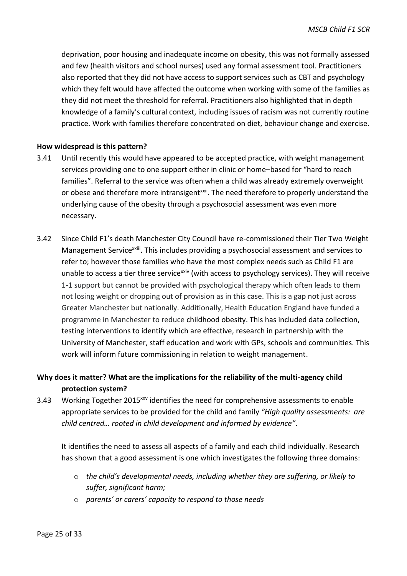deprivation, poor housing and inadequate income on obesity, this was not formally assessed and few (health visitors and school nurses) used any formal assessment tool. Practitioners also reported that they did not have access to support services such as CBT and psychology which they felt would have affected the outcome when working with some of the families as they did not meet the threshold for referral. Practitioners also highlighted that in depth knowledge of a family's cultural context, including issues of racism was not currently routine practice. Work with families therefore concentrated on diet, behaviour change and exercise.

#### **How widespread is this pattern?**

- 3.41 Until recently this would have appeared to be accepted practice, with weight management services providing one to one support either in clinic or home–based for "hard to reach families". Referral to the service was often when a child was already extremely overweight or obese and therefore more intransigent<sup>xxii</sup>. The need therefore to properly understand the underlying cause of the obesity through a psychosocial assessment was even more necessary.
- 3.42 Since Child F1's death Manchester City Council have re-commissioned their Tier Two Weight Management Service<sup>xxiii</sup>. This includes providing a psychosocial assessment and services to refer to; however those families who have the most complex needs such as Child F1 are unable to access a tier three service<sup> $xiv$ </sup> (with access to psychology services). They will receive 1-1 support but cannot be provided with psychological therapy which often leads to them not losing weight or dropping out of provision as in this case. This is a gap not just across Greater Manchester but nationally. Additionally, Health Education England have funded a programme in Manchester to reduce childhood obesity. This has included data collection, testing interventions to identify which are effective, research in partnership with the University of Manchester, staff education and work with GPs, schools and communities. This work will inform future commissioning in relation to weight management.

## **Why does it matter? What are the implications for the reliability of the multi-agency child protection system?**

3.43 Working Together 2015<sup>xxv</sup> identifies the need for comprehensive assessments to enable appropriate services to be provided for the child and family *"High quality assessments: are child centred… rooted in child development and informed by evidence"*.

It identifies the need to assess all aspects of a family and each child individually. Research has shown that a good assessment is one which investigates the following three domains:

- o *the child's developmental needs, including whether they are suffering, or likely to suffer, significant harm;*
- o *parents' or carers' capacity to respond to those needs*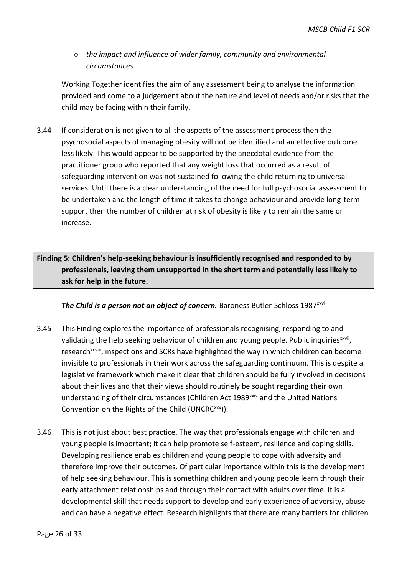o *the impact and influence of wider family, community and environmental circumstances.* 

Working Together identifies the aim of any assessment being to analyse the information provided and come to a judgement about the nature and level of needs and/or risks that the child may be facing within their family.

3.44 If consideration is not given to all the aspects of the assessment process then the psychosocial aspects of managing obesity will not be identified and an effective outcome less likely. This would appear to be supported by the anecdotal evidence from the practitioner group who reported that any weight loss that occurred as a result of safeguarding intervention was not sustained following the child returning to universal services. Until there is a clear understanding of the need for full psychosocial assessment to be undertaken and the length of time it takes to change behaviour and provide long-term support then the number of children at risk of obesity is likely to remain the same or increase.

**Finding 5: Children's help-seeking behaviour is insufficiently recognised and responded to by professionals, leaving them unsupported in the short term and potentially less likely to ask for help in the future.**

The Child is a person not an object of concern. Baroness Butler-Schloss 1987<sup>xxvi</sup>

- 3.45 This Finding explores the importance of professionals recognising, responding to and validating the help seeking behaviour of children and young people. Public inquiries<sup>xxvii</sup>, research<sup>xxviii</sup>, inspections and SCRs have highlighted the way in which children can become invisible to professionals in their work across the safeguarding continuum. This is despite a legislative framework which make it clear that children should be fully involved in decisions about their lives and that their views should routinely be sought regarding their own understanding of their circumstances (Children Act 1989<sup>xxix</sup> and the United Nations Convention on the Rights of the Child (UNCRC<sup>xxx</sup>)).
- 3.46 This is not just about best practice. The way that professionals engage with children and young people is important; it can help promote self-esteem, resilience and coping skills. Developing resilience enables children and young people to cope with adversity and therefore improve their outcomes. Of particular importance within this is the development of help seeking behaviour. This is something children and young people learn through their early attachment relationships and through their contact with adults over time. It is a developmental skill that needs support to develop and early experience of adversity, abuse and can have a negative effect. Research highlights that there are many barriers for children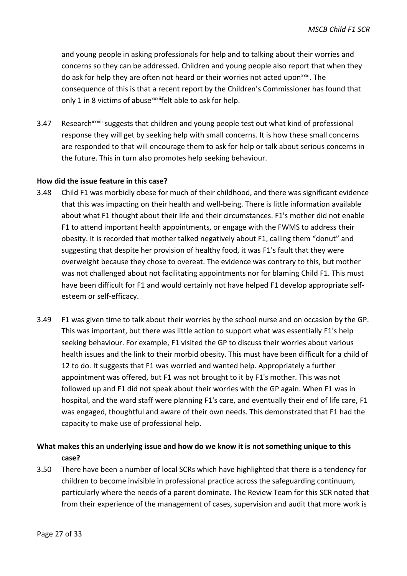and young people in asking professionals for help and to talking about their worries and concerns so they can be addressed. Children and young people also report that when they do ask for help they are often not heard or their worries not acted upon<sup>xxxi</sup>. The consequence of this is that a recent report by the Children's Commissioner has found that only 1 in 8 victims of abuse<sup>xxxii</sup>felt able to ask for help.

3.47 Research<sup>xxxiii</sup> suggests that children and young people test out what kind of professional response they will get by seeking help with small concerns. It is how these small concerns are responded to that will encourage them to ask for help or talk about serious concerns in the future. This in turn also promotes help seeking behaviour.

#### **How did the issue feature in this case?**

- 3.48 Child F1 was morbidly obese for much of their childhood, and there was significant evidence that this was impacting on their health and well-being. There is little information available about what F1 thought about their life and their circumstances. F1's mother did not enable F1 to attend important health appointments, or engage with the FWMS to address their obesity. It is recorded that mother talked negatively about F1, calling them "donut" and suggesting that despite her provision of healthy food, it was F1's fault that they were overweight because they chose to overeat. The evidence was contrary to this, but mother was not challenged about not facilitating appointments nor for blaming Child F1. This must have been difficult for F1 and would certainly not have helped F1 develop appropriate selfesteem or self-efficacy.
- 3.49 F1 was given time to talk about their worries by the school nurse and on occasion by the GP. This was important, but there was little action to support what was essentially F1's help seeking behaviour. For example, F1 visited the GP to discuss their worries about various health issues and the link to their morbid obesity. This must have been difficult for a child of 12 to do. It suggests that F1 was worried and wanted help. Appropriately a further appointment was offered, but F1 was not brought to it by F1's mother. This was not followed up and F1 did not speak about their worries with the GP again. When F1 was in hospital, and the ward staff were planning F1's care, and eventually their end of life care, F1 was engaged, thoughtful and aware of their own needs. This demonstrated that F1 had the capacity to make use of professional help.

## **What makes this an underlying issue and how do we know it is not something unique to this case?**

3.50 There have been a number of local SCRs which have highlighted that there is a tendency for children to become invisible in professional practice across the safeguarding continuum, particularly where the needs of a parent dominate. The Review Team for this SCR noted that from their experience of the management of cases, supervision and audit that more work is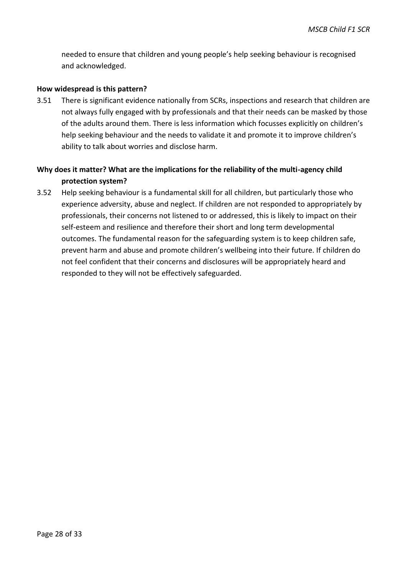needed to ensure that children and young people's help seeking behaviour is recognised and acknowledged.

#### **How widespread is this pattern?**

3.51 There is significant evidence nationally from SCRs, inspections and research that children are not always fully engaged with by professionals and that their needs can be masked by those of the adults around them. There is less information which focusses explicitly on children's help seeking behaviour and the needs to validate it and promote it to improve children's ability to talk about worries and disclose harm.

## **Why does it matter? What are the implications for the reliability of the multi-agency child protection system?**

3.52 Help seeking behaviour is a fundamental skill for all children, but particularly those who experience adversity, abuse and neglect. If children are not responded to appropriately by professionals, their concerns not listened to or addressed, this is likely to impact on their self-esteem and resilience and therefore their short and long term developmental outcomes. The fundamental reason for the safeguarding system is to keep children safe, prevent harm and abuse and promote children's wellbeing into their future. If children do not feel confident that their concerns and disclosures will be appropriately heard and responded to they will not be effectively safeguarded.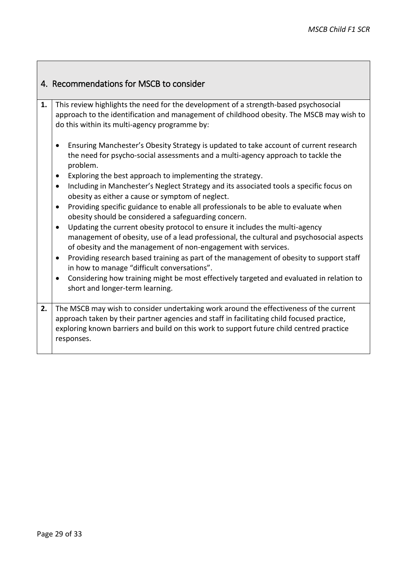<span id="page-32-0"></span>

|    | 4. Recommendations for MSCB to consider                                                                                                                                                                                           |  |  |
|----|-----------------------------------------------------------------------------------------------------------------------------------------------------------------------------------------------------------------------------------|--|--|
| 1. | This review highlights the need for the development of a strength-based psychosocial<br>approach to the identification and management of childhood obesity. The MSCB may wish to<br>do this within its multi-agency programme by: |  |  |
|    | Ensuring Manchester's Obesity Strategy is updated to take account of current research<br>the need for psycho-social assessments and a multi-agency approach to tackle the<br>problem.                                             |  |  |
|    | Exploring the best approach to implementing the strategy.                                                                                                                                                                         |  |  |
|    | Including in Manchester's Neglect Strategy and its associated tools a specific focus on<br>$\bullet$<br>obesity as either a cause or symptom of neglect.                                                                          |  |  |
|    | Providing specific guidance to enable all professionals to be able to evaluate when<br>obesity should be considered a safeguarding concern.                                                                                       |  |  |
|    | Updating the current obesity protocol to ensure it includes the multi-agency<br>$\bullet$                                                                                                                                         |  |  |
|    | management of obesity, use of a lead professional, the cultural and psychosocial aspects<br>of obesity and the management of non-engagement with services.                                                                        |  |  |
|    | Providing research based training as part of the management of obesity to support staff<br>$\bullet$<br>in how to manage "difficult conversations".                                                                               |  |  |
|    | Considering how training might be most effectively targeted and evaluated in relation to<br>$\bullet$<br>short and longer-term learning.                                                                                          |  |  |
| 2. | The MSCB may wish to consider undertaking work around the effectiveness of the current                                                                                                                                            |  |  |
|    | approach taken by their partner agencies and staff in facilitating child focused practice,                                                                                                                                        |  |  |
|    | exploring known barriers and build on this work to support future child centred practice                                                                                                                                          |  |  |
|    | responses.                                                                                                                                                                                                                        |  |  |
|    |                                                                                                                                                                                                                                   |  |  |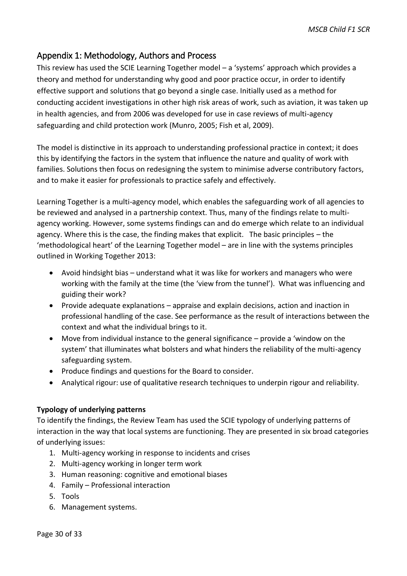## <span id="page-33-0"></span>Appendix 1: Methodology, Authors and Process

This review has used the SCIE Learning Together model – a 'systems' approach which provides a theory and method for understanding why good and poor practice occur, in order to identify effective support and solutions that go beyond a single case. Initially used as a method for conducting accident investigations in other high risk areas of work, such as aviation, it was taken up in health agencies, and from 2006 was developed for use in case reviews of multi-agency safeguarding and child protection work (Munro, 2005; Fish et al, 2009).

The model is distinctive in its approach to understanding professional practice in context; it does this by identifying the factors in the system that influence the nature and quality of work with families. Solutions then focus on redesigning the system to minimise adverse contributory factors, and to make it easier for professionals to practice safely and effectively.

Learning Together is a multi-agency model, which enables the safeguarding work of all agencies to be reviewed and analysed in a partnership context. Thus, many of the findings relate to multiagency working. However, some systems findings can and do emerge which relate to an individual agency. Where this is the case, the finding makes that explicit. The basic principles – the 'methodological heart' of the Learning Together model – are in line with the systems principles outlined in Working Together 2013:

- Avoid hindsight bias understand what it was like for workers and managers who were working with the family at the time (the 'view from the tunnel'). What was influencing and guiding their work?
- Provide adequate explanations appraise and explain decisions, action and inaction in professional handling of the case. See performance as the result of interactions between the context and what the individual brings to it.
- Move from individual instance to the general significance provide a 'window on the system' that illuminates what bolsters and what hinders the reliability of the multi-agency safeguarding system.
- Produce findings and questions for the Board to consider.
- Analytical rigour: use of qualitative research techniques to underpin rigour and reliability.

#### **Typology of underlying patterns**

To identify the findings, the Review Team has used the SCIE typology of underlying patterns of interaction in the way that local systems are functioning. They are presented in six broad categories of underlying issues:

- 1. Multi-agency working in response to incidents and crises
- 2. Multi-agency working in longer term work
- 3. Human reasoning: cognitive and emotional biases
- 4. Family Professional interaction
- 5. Tools
- 6. Management systems.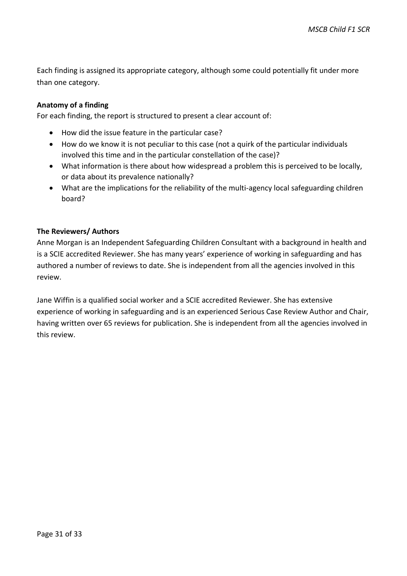Each finding is assigned its appropriate category, although some could potentially fit under more than one category.

#### **Anatomy of a finding**

For each finding, the report is structured to present a clear account of:

- How did the issue feature in the particular case?
- How do we know it is not peculiar to this case (not a quirk of the particular individuals involved this time and in the particular constellation of the case)?
- What information is there about how widespread a problem this is perceived to be locally, or data about its prevalence nationally?
- What are the implications for the reliability of the multi-agency local safeguarding children board?

#### **The Reviewers/ Authors**

Anne Morgan is an Independent Safeguarding Children Consultant with a background in health and is a SCIE accredited Reviewer. She has many years' experience of working in safeguarding and has authored a number of reviews to date. She is independent from all the agencies involved in this review.

Jane Wiffin is a qualified social worker and a SCIE accredited Reviewer. She has extensive experience of working in safeguarding and is an experienced Serious Case Review Author and Chair, having written over 65 reviews for publication. She is independent from all the agencies involved in this review.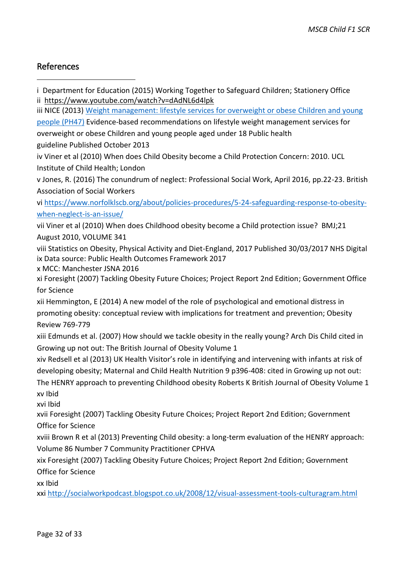## <span id="page-35-0"></span>References

-

- i Department for Education (2015) Working Together to Safeguard Children; Stationery Office
- ii <https://www.youtube.com/watch?v=dAdNL6d4lpk>
- iii NICE (2013) [Weight management: lifestyle services for overweight or obese Children and young](https://www.nice.org.uk/guidance/ph47)
- [people](https://www.nice.org.uk/guidance/ph47) (PH47) Evidence-based recommendations on lifestyle weight management services for overweight or obese Children and young people aged under 18 Public health
- guideline Published October 2013
- iv Viner et al (2010) When does Child Obesity become a Child Protection Concern: 2010. UCL Institute of Child Health; London
- v Jones, R. (2016) The conundrum of neglect: Professional Social Work, April 2016, pp.22-23. British Association of Social Workers

vi [https://www.norfolklscb.org/about/policies-procedures/5-24-safeguarding-response-to-obesity](https://www.norfolklscb.org/about/policies-procedures/5-24-safeguarding-response-to-obesity-when-neglect-is-an-issue/)[when-neglect-is-an-issue/](https://www.norfolklscb.org/about/policies-procedures/5-24-safeguarding-response-to-obesity-when-neglect-is-an-issue/)

vii Viner et al (2010) When does Childhood obesity become a Child protection issue? BMJ;21 August 2010, VOLUME 341

viii Statistics on Obesity, Physical Activity and Diet-England, 2017 Published 30/03/2017 NHS Digital ix Data source: Public Health Outcomes Framework 2017

x MCC: Manchester JSNA 2016

xi Foresight (2007) Tackling Obesity Future Choices; Project Report 2nd Edition; Government Office for Science

xii Hemmington, E (2014) A new model of the role of psychological and emotional distress in promoting obesity: conceptual review with implications for treatment and prevention; Obesity Review 769-779

xiii Edmunds et al. (2007) How should we tackle obesity in the really young? Arch Dis Child cited in Growing up not out: The British Journal of Obesity Volume 1

xiv Redsell et al (2013) UK Health Visitor's role in identifying and intervening with infants at risk of developing obesity; Maternal and Child Health Nutrition 9 p396-408: cited in Growing up not out: The HENRY approach to preventing Childhood obesity Roberts K British Journal of Obesity Volume 1

xv Ibid

xvi Ibid

xvii Foresight (2007) Tackling Obesity Future Choices; Project Report 2nd Edition; Government Office for Science

xviii Brown R et al (2013) Preventing Child obesity: a long-term evaluation of the HENRY approach: Volume 86 Number 7 Community Practitioner CPHVA

xix Foresight (2007) Tackling Obesity Future Choices; Project Report 2nd Edition; Government Office for Science

xx Ibid

xxi <http://socialworkpodcast.blogspot.co.uk/2008/12/visual-assessment-tools-culturagram.html>